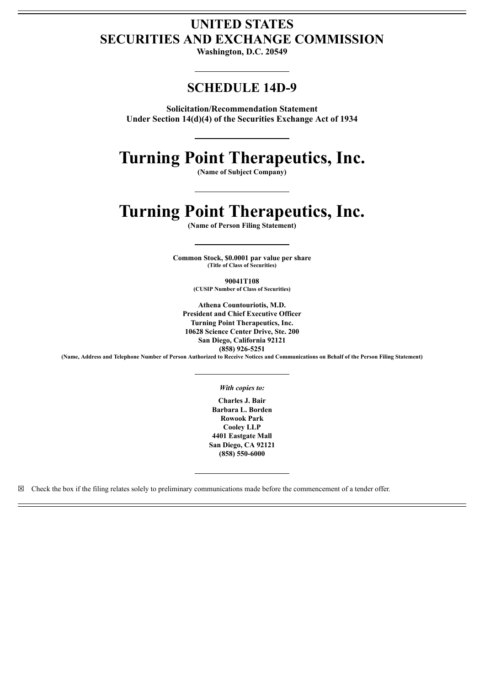# **UNITED STATES SECURITIES AND EXCHANGE COMMISSION**

**Washington, D.C. 20549**

# **SCHEDULE 14D-9**

**Solicitation/Recommendation Statement Under Section 14(d)(4) of the Securities Exchange Act of 1934**

# **Turning Point Therapeutics, Inc.**

**(Name of Subject Company)**

# **Turning Point Therapeutics, Inc.**

**(Name of Person Filing Statement)**

**Common Stock, \$0.0001 par value per share (Title of Class of Securities)**

**90041T108**

**(CUSIP Number of Class of Securities)**

**Athena Countouriotis, M.D. President and Chief Executive Officer Turning Point Therapeutics, Inc. 10628 Science Center Drive, Ste. 200 San Diego, California 92121 (858) 926-5251**

(Name, Address and Telephone Number of Person Authorized to Receive Notices and Communications on Behalf of the Person Filing Statement)

#### *With copies to:*

**Charles J. Bair Barbara L. Borden Rowook Park Cooley LLP 4401 Eastgate Mall San Diego, CA 92121 (858) 550-6000**

 $\boxtimes$  Check the box if the filing relates solely to preliminary communications made before the commencement of a tender offer.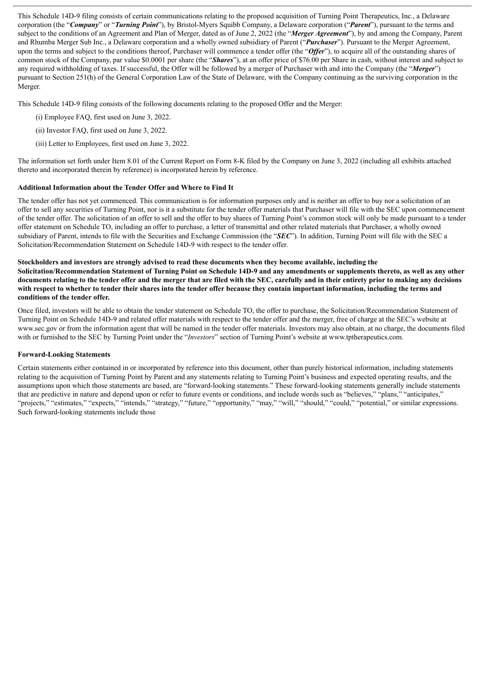This Schedule 14D-9 filing consists of certain communications relating to the proposed acquisition of Turning Point Therapeutics, Inc., a Delaware corporation (the "*Company*" or "*Turning Point*"), by Bristol-Myers Squibb Company, a Delaware corporation ("*Parent*"), pursuant to the terms and subject to the conditions of an Agreement and Plan of Merger, dated as of June 2, 2022 (the "*Merger Agreement*"), by and among the Company, Parent and Rhumba Merger Sub Inc., a Delaware corporation and a wholly owned subsidiary of Parent ("*Purchaser*"). Pursuant to the Merger Agreement, upon the terms and subject to the conditions thereof, Purchaser will commence a tender offer (the "Offer"), to acquire all of the outstanding shares of common stock of the Company, par value \$0.0001 per share (the "*Shares*"), at an offer price of \$76.00 per Share in cash, without interest and subject to any required withholding of taxes. If successful, the Offer will be followed by a merger of Purchaser with and into the Company (the "*Merger*") pursuant to Section 251(h) of the General Corporation Law of the State of Delaware, with the Company continuing as the surviving corporation in the Merger.

This Schedule 14D-9 filing consists of the following documents relating to the proposed Offer and the Merger:

- (i) Employee FAQ, first used on June 3, 2022.
- (ii) Investor FAQ, first used on June 3, 2022.
- (iii) Letter to Employees, first used on June 3, 2022.

The information set forth under Item 8.01 of the Current Report on Form 8-K filed by the Company on June 3, 2022 (including all exhibits attached thereto and incorporated therein by reference) is incorporated herein by reference.

# **Additional Information about the Tender Offer and Where to Find It**

The tender offer has not yet commenced. This communication is for information purposes only and is neither an offer to buy nor a solicitation of an offer to sell any securities of Turning Point, nor is it a substitute for the tender offer materials that Purchaser will file with the SEC upon commencement of the tender offer. The solicitation of an offer to sell and the offer to buy shares of Turning Point's common stock will only be made pursuant to a tender offer statement on Schedule TO, including an offer to purchase, a letter of transmittal and other related materials that Purchaser, a wholly owned subsidiary of Parent, intends to file with the Securities and Exchange Commission (the "*SEC*"). In addition, Turning Point will file with the SEC a Solicitation/Recommendation Statement on Schedule 14D-9 with respect to the tender offer.

#### Stockholders and investors are strongly advised to read these documents when they become available, including the

Solicitation/Recommendation Statement of Turning Point on Schedule 14D-9 and any amendments or supplements thereto, as well as any other documents relating to the tender offer and the merger that are filed with the SEC, carefully and in their entirety prior to making any decisions with respect to whether to tender their shares into the tender offer because they contain important information, including the terms and **conditions of the tender offer.**

Once filed, investors will be able to obtain the tender statement on Schedule TO, the offer to purchase, the Solicitation/Recommendation Statement of Turning Point on Schedule 14D-9 and related offer materials with respect to the tender offer and the merger, free of charge at the SEC's website at www.sec.gov or from the information agent that will be named in the tender offer materials. Investors may also obtain, at no charge, the documents filed with or furnished to the SEC by Turning Point under the "*Investors*" section of Turning Point's website at www.tptherapeutics.com.

# **Forward-Looking Statements**

Certain statements either contained in or incorporated by reference into this document, other than purely historical information, including statements relating to the acquisition of Turning Point by Parent and any statements relating to Turning Point's business and expected operating results, and the assumptions upon which those statements are based, are "forward-looking statements." These forward-looking statements generally include statements that are predictive in nature and depend upon or refer to future events or conditions, and include words such as "believes," "plans," "anticipates," "projects," "estimates," "expects," "intends," "strategy," "future," "opportunity," "may," "will," "should," "could," "potential," or similar expressions. Such forward-looking statements include those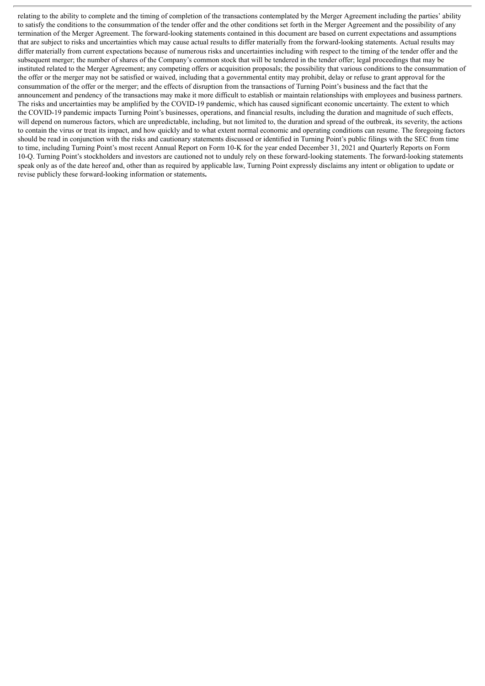relating to the ability to complete and the timing of completion of the transactions contemplated by the Merger Agreement including the parties' ability to satisfy the conditions to the consummation of the tender offer and the other conditions set forth in the Merger Agreement and the possibility of any termination of the Merger Agreement. The forward-looking statements contained in this document are based on current expectations and assumptions that are subject to risks and uncertainties which may cause actual results to differ materially from the forward-looking statements. Actual results may differ materially from current expectations because of numerous risks and uncertainties including with respect to the timing of the tender offer and the subsequent merger; the number of shares of the Company's common stock that will be tendered in the tender offer; legal proceedings that may be instituted related to the Merger Agreement; any competing offers or acquisition proposals; the possibility that various conditions to the consummation of the offer or the merger may not be satisfied or waived, including that a governmental entity may prohibit, delay or refuse to grant approval for the consummation of the offer or the merger; and the effects of disruption from the transactions of Turning Point's business and the fact that the announcement and pendency of the transactions may make it more difficult to establish or maintain relationships with employees and business partners. The risks and uncertainties may be amplified by the COVID-19 pandemic, which has caused significant economic uncertainty. The extent to which the COVID-19 pandemic impacts Turning Point's businesses, operations, and financial results, including the duration and magnitude of such effects, will depend on numerous factors, which are unpredictable, including, but not limited to, the duration and spread of the outbreak, its severity, the actions to contain the virus or treat its impact, and how quickly and to what extent normal economic and operating conditions can resume. The foregoing factors should be read in conjunction with the risks and cautionary statements discussed or identified in Turning Point's public filings with the SEC from time to time, including Turning Point's most recent Annual Report on Form 10-K for the year ended December 31, 2021 and Quarterly Reports on Form 10-Q. Turning Point's stockholders and investors are cautioned not to unduly rely on these forward-looking statements. The forward-looking statements speak only as of the date hereof and, other than as required by applicable law, Turning Point expressly disclaims any intent or obligation to update or revise publicly these forward-looking information or statements**.**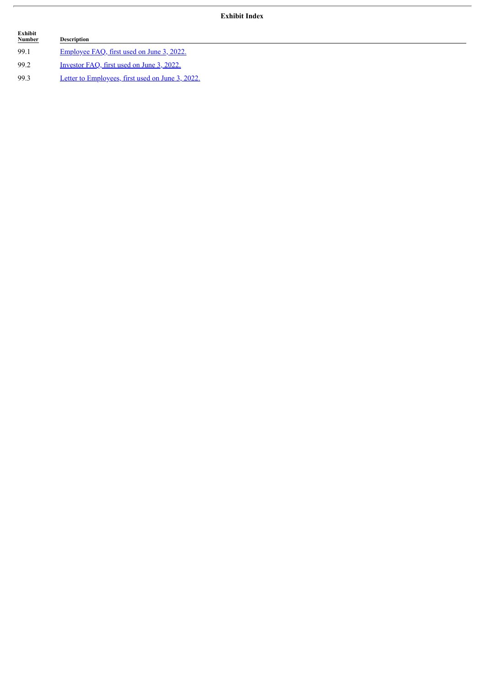# **Exhibit Index**

| Exhibit<br><b>Number</b> | Description                                      |
|--------------------------|--------------------------------------------------|
| 99.1                     | Employee FAQ, first used on June 3, 2022.        |
| 99.2                     | Investor FAO, first used on June 3, 2022.        |
| 99.3                     | Letter to Employees, first used on June 3, 2022. |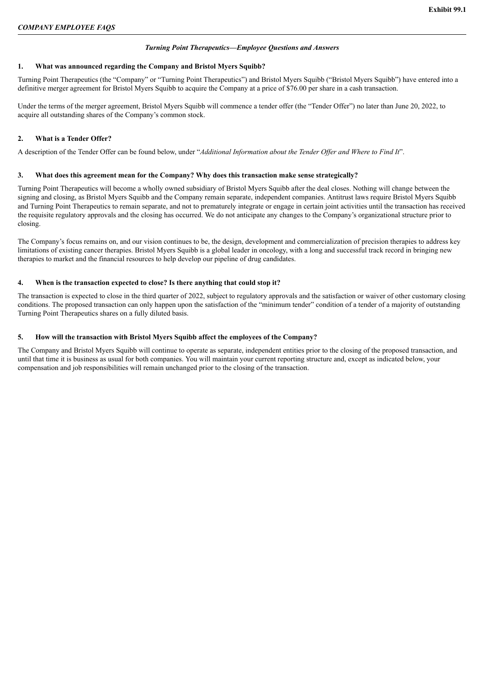# *Turning Point Therapeutics—Employee Questions and Answers*

# <span id="page-4-0"></span>**1. What was announced regarding the Company and Bristol Myers Squibb?**

Turning Point Therapeutics (the "Company" or "Turning Point Therapeutics") and Bristol Myers Squibb ("Bristol Myers Squibb") have entered into a definitive merger agreement for Bristol Myers Squibb to acquire the Company at a price of \$76.00 per share in a cash transaction.

Under the terms of the merger agreement, Bristol Myers Squibb will commence a tender offer (the "Tender Offer") no later than June 20, 2022, to acquire all outstanding shares of the Company's common stock.

# **2. What is a Tender Offer?**

A description of the Tender Offer can be found below, under "*Additional Information about the Tender Of er and Where to Find It*".

# **3. What does this agreement mean for the Company? Why does this transaction make sense strategically?**

Turning Point Therapeutics will become a wholly owned subsidiary of Bristol Myers Squibb after the deal closes. Nothing will change between the signing and closing, as Bristol Myers Squibb and the Company remain separate, independent companies. Antitrust laws require Bristol Myers Squibb and Turning Point Therapeutics to remain separate, and not to prematurely integrate or engage in certain joint activities until the transaction has received the requisite regulatory approvals and the closing has occurred. We do not anticipate any changes to the Company's organizational structure prior to closing.

The Company's focus remains on, and our vision continues to be, the design, development and commercialization of precision therapies to address key limitations of existing cancer therapies. Bristol Myers Squibb is a global leader in oncology, with a long and successful track record in bringing new therapies to market and the financial resources to help develop our pipeline of drug candidates.

# **4. When is the transaction expected to close? Is there anything that could stop it?**

The transaction is expected to close in the third quarter of 2022, subject to regulatory approvals and the satisfaction or waiver of other customary closing conditions. The proposed transaction can only happen upon the satisfaction of the "minimum tender" condition of a tender of a majority of outstanding Turning Point Therapeutics shares on a fully diluted basis.

# **5. How will the transaction with Bristol Myers Squibb affect the employees of the Company?**

The Company and Bristol Myers Squibb will continue to operate as separate, independent entities prior to the closing of the proposed transaction, and until that time it is business as usual for both companies. You will maintain your current reporting structure and, except as indicated below, your compensation and job responsibilities will remain unchanged prior to the closing of the transaction.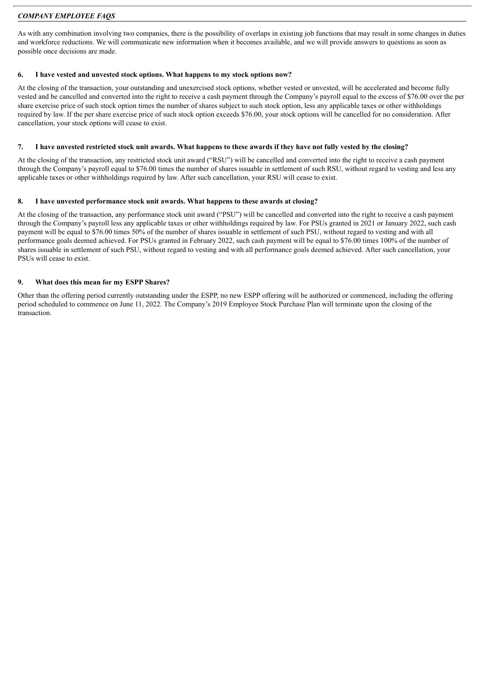As with any combination involving two companies, there is the possibility of overlaps in existing job functions that may result in some changes in duties and workforce reductions. We will communicate new information when it becomes available, and we will provide answers to questions as soon as possible once decisions are made.

# **6. I have vested and unvested stock options. What happens to my stock options now?**

At the closing of the transaction, your outstanding and unexercised stock options, whether vested or unvested, will be accelerated and become fully vested and be cancelled and converted into the right to receive a cash payment through the Company's payroll equal to the excess of \$76.00 over the per share exercise price of such stock option times the number of shares subject to such stock option, less any applicable taxes or other withholdings required by law. If the per share exercise price of such stock option exceeds \$76.00, your stock options will be cancelled for no consideration. After cancellation, your stock options will cease to exist.

# 7. I have unvested restricted stock unit awards. What happens to these awards if they have not fully vested by the closing?

At the closing of the transaction, any restricted stock unit award ("RSU") will be cancelled and converted into the right to receive a cash payment through the Company's payroll equal to \$76.00 times the number of shares issuable in settlement of such RSU, without regard to vesting and less any applicable taxes or other withholdings required by law. After such cancellation, your RSU will cease to exist.

# **8. I have unvested performance stock unit awards. What happens to these awards at closing?**

At the closing of the transaction, any performance stock unit award ("PSU") will be cancelled and converted into the right to receive a cash payment through the Company's payroll less any applicable taxes or other withholdings required by law. For PSUs granted in 2021 or January 2022, such cash payment will be equal to \$76.00 times 50% of the number of shares issuable in settlement of such PSU, without regard to vesting and with all performance goals deemed achieved. For PSUs granted in February 2022, such cash payment will be equal to \$76.00 times 100% of the number of shares issuable in settlement of such PSU, without regard to vesting and with all performance goals deemed achieved. After such cancellation, your PSUs will cease to exist.

# **9. What does this mean for my ESPP Shares?**

Other than the offering period currently outstanding under the ESPP, no new ESPP offering will be authorized or commenced, including the offering period scheduled to commence on June 11, 2022. The Company's 2019 Employee Stock Purchase Plan will terminate upon the closing of the transaction.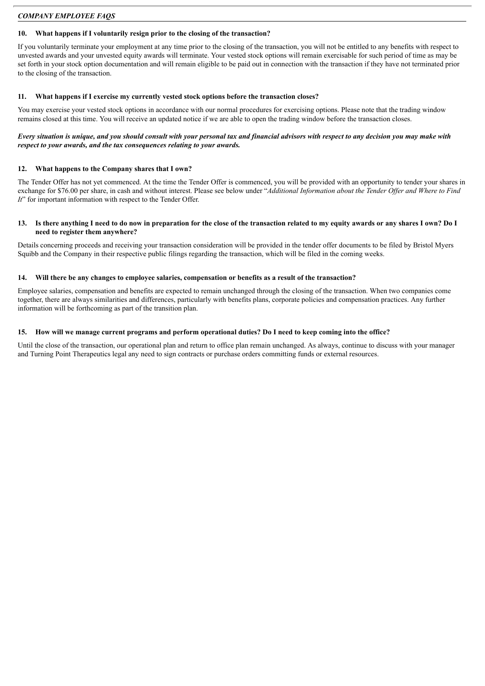#### **10. What happens if I voluntarily resign prior to the closing of the transaction?**

If you voluntarily terminate your employment at any time prior to the closing of the transaction, you will not be entitled to any benefits with respect to unvested awards and your unvested equity awards will terminate. Your vested stock options will remain exercisable for such period of time as may be set forth in your stock option documentation and will remain eligible to be paid out in connection with the transaction if they have not terminated prior to the closing of the transaction.

#### **11. What happens if I exercise my currently vested stock options before the transaction closes?**

You may exercise your vested stock options in accordance with our normal procedures for exercising options. Please note that the trading window remains closed at this time. You will receive an updated notice if we are able to open the trading window before the transaction closes.

#### Every situation is unique, and you should consult with your personal tax and financial advisors with respect to any decision you may make with *respect to your awards, and the tax consequences relating to your awards.*

#### **12. What happens to the Company shares that I own?**

The Tender Offer has not yet commenced. At the time the Tender Offer is commenced, you will be provided with an opportunity to tender your shares in exchange for \$76.00 per share, in cash and without interest. Please see below under "Additional Information about the Tender Offer and Where to Find *It*" for important information with respect to the Tender Offer.

#### 13. Is there anything I need to do now in preparation for the close of the transaction related to my equity awards or any shares I own? Do I **need to register them anywhere?**

Details concerning proceeds and receiving your transaction consideration will be provided in the tender offer documents to be filed by Bristol Myers Squibb and the Company in their respective public filings regarding the transaction, which will be filed in the coming weeks.

#### 14. Will there be any changes to employee salaries, compensation or benefits as a result of the transaction?

Employee salaries, compensation and benefits are expected to remain unchanged through the closing of the transaction. When two companies come together, there are always similarities and differences, particularly with benefits plans, corporate policies and compensation practices. Any further information will be forthcoming as part of the transition plan.

#### 15. How will we manage current programs and perform operational duties? Do I need to keep coming into the office?

Until the close of the transaction, our operational plan and return to office plan remain unchanged. As always, continue to discuss with your manager and Turning Point Therapeutics legal any need to sign contracts or purchase orders committing funds or external resources.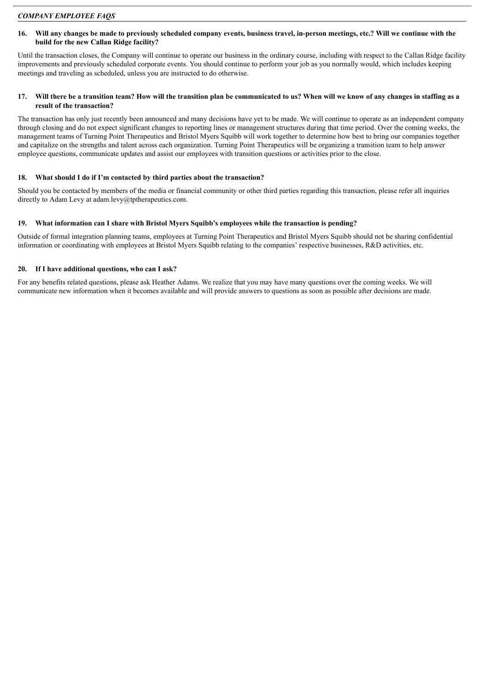#### 16. Will any changes be made to previously scheduled company events, business travel, in-person meetings, etc.? Will we continue with the **build for the new Callan Ridge facility?**

Until the transaction closes, the Company will continue to operate our business in the ordinary course, including with respect to the Callan Ridge facility improvements and previously scheduled corporate events. You should continue to perform your job as you normally would, which includes keeping meetings and traveling as scheduled, unless you are instructed to do otherwise.

# 17. Will there be a transition team? How will the transition plan be communicated to us? When will we know of any changes in staffing as a **result of the transaction?**

The transaction has only just recently been announced and many decisions have yet to be made. We will continue to operate as an independent company through closing and do not expect significant changes to reporting lines or management structures during that time period. Over the coming weeks, the management teams of Turning Point Therapeutics and Bristol Myers Squibb will work together to determine how best to bring our companies together and capitalize on the strengths and talent across each organization. Turning Point Therapeutics will be organizing a transition team to help answer employee questions, communicate updates and assist our employees with transition questions or activities prior to the close.

# **18. What should I do if I'm contacted by third parties about the transaction?**

Should you be contacted by members of the media or financial community or other third parties regarding this transaction, please refer all inquiries directly to Adam Levy at adam.levy@tptherapeutics.com.

# **19. What information can I share with Bristol Myers Squibb's employees while the transaction is pending?**

Outside of formal integration planning teams, employees at Turning Point Therapeutics and Bristol Myers Squibb should not be sharing confidential information or coordinating with employees at Bristol Myers Squibb relating to the companies' respective businesses, R&D activities, etc.

# **20. If I have additional questions, who can I ask?**

For any benefits related questions, please ask Heather Adams. We realize that you may have many questions over the coming weeks. We will communicate new information when it becomes available and will provide answers to questions as soon as possible after decisions are made.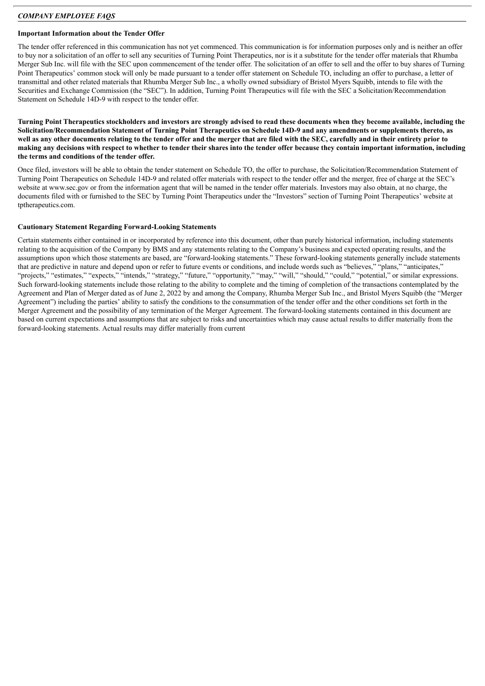# **Important Information about the Tender Offer**

The tender offer referenced in this communication has not yet commenced. This communication is for information purposes only and is neither an offer to buy nor a solicitation of an offer to sell any securities of Turning Point Therapeutics, nor is it a substitute for the tender offer materials that Rhumba Merger Sub Inc. will file with the SEC upon commencement of the tender offer. The solicitation of an offer to sell and the offer to buy shares of Turning Point Therapeutics' common stock will only be made pursuant to a tender offer statement on Schedule TO, including an offer to purchase, a letter of transmittal and other related materials that Rhumba Merger Sub Inc., a wholly owned subsidiary of Bristol Myers Squibb, intends to file with the Securities and Exchange Commission (the "SEC"). In addition, Turning Point Therapeutics will file with the SEC a Solicitation/Recommendation Statement on Schedule 14D-9 with respect to the tender offer.

Turning Point Therapeutics stockholders and investors are strongly advised to read these documents when they become available, including the Solicitation/Recommendation Statement of Turning Point Therapeutics on Schedule 14D-9 and any amendments or supplements thereto, as well as any other documents relating to the tender offer and the merger that are filed with the SEC, carefully and in their entirety prior to making any decisions with respect to whether to tender their shares into the tender offer because they contain important information, including **the terms and conditions of the tender offer.**

Once filed, investors will be able to obtain the tender statement on Schedule TO, the offer to purchase, the Solicitation/Recommendation Statement of Turning Point Therapeutics on Schedule 14D-9 and related offer materials with respect to the tender offer and the merger, free of charge at the SEC's website at www.sec.gov or from the information agent that will be named in the tender offer materials. Investors may also obtain, at no charge, the documents filed with or furnished to the SEC by Turning Point Therapeutics under the "Investors" section of Turning Point Therapeutics' website at tptherapeutics.com.

# **Cautionary Statement Regarding Forward-Looking Statements**

Certain statements either contained in or incorporated by reference into this document, other than purely historical information, including statements relating to the acquisition of the Company by BMS and any statements relating to the Company's business and expected operating results, and the assumptions upon which those statements are based, are "forward-looking statements." These forward-looking statements generally include statements that are predictive in nature and depend upon or refer to future events or conditions, and include words such as "believes," "plans," "anticipates," "projects," "estimates," "expects," "intends," "strategy," "future," "opportunity," "may," "will," "should," "could," "potential," or similar expressions. Such forward-looking statements include those relating to the ability to complete and the timing of completion of the transactions contemplated by the Agreement and Plan of Merger dated as of June 2, 2022 by and among the Company, Rhumba Merger Sub Inc., and Bristol Myers Squibb (the "Merger Agreement") including the parties' ability to satisfy the conditions to the consummation of the tender offer and the other conditions set forth in the Merger Agreement and the possibility of any termination of the Merger Agreement. The forward-looking statements contained in this document are based on current expectations and assumptions that are subject to risks and uncertainties which may cause actual results to differ materially from the forward-looking statements. Actual results may differ materially from current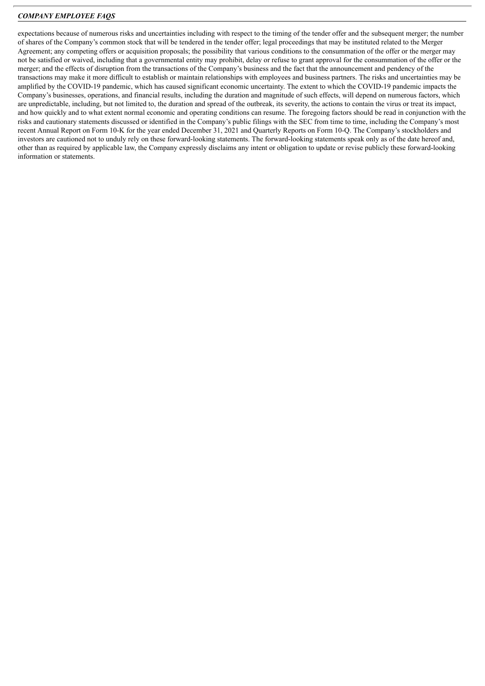expectations because of numerous risks and uncertainties including with respect to the timing of the tender offer and the subsequent merger; the number of shares of the Company's common stock that will be tendered in the tender offer; legal proceedings that may be instituted related to the Merger Agreement; any competing offers or acquisition proposals; the possibility that various conditions to the consummation of the offer or the merger may not be satisfied or waived, including that a governmental entity may prohibit, delay or refuse to grant approval for the consummation of the offer or the merger; and the effects of disruption from the transactions of the Company's business and the fact that the announcement and pendency of the transactions may make it more difficult to establish or maintain relationships with employees and business partners. The risks and uncertainties may be amplified by the COVID-19 pandemic, which has caused significant economic uncertainty. The extent to which the COVID-19 pandemic impacts the Company's businesses, operations, and financial results, including the duration and magnitude of such effects, will depend on numerous factors, which are unpredictable, including, but not limited to, the duration and spread of the outbreak, its severity, the actions to contain the virus or treat its impact, and how quickly and to what extent normal economic and operating conditions can resume. The foregoing factors should be read in conjunction with the risks and cautionary statements discussed or identified in the Company's public filings with the SEC from time to time, including the Company's most recent Annual Report on Form 10-K for the year ended December 31, 2021 and Quarterly Reports on Form 10-Q. The Company's stockholders and investors are cautioned not to unduly rely on these forward-looking statements. The forward-looking statements speak only as of the date hereof and, other than as required by applicable law, the Company expressly disclaims any intent or obligation to update or revise publicly these forward-looking information or statements.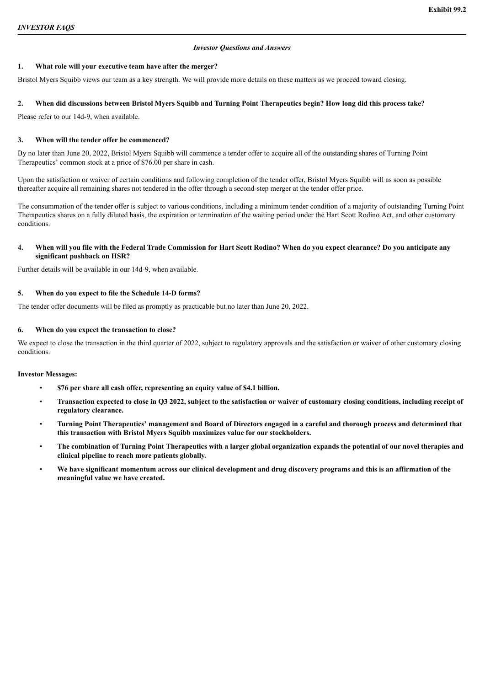# *Investor Questions and Answers*

# <span id="page-10-0"></span>**1. What role will your executive team have after the merger?**

Bristol Myers Squibb views our team as a key strength. We will provide more details on these matters as we proceed toward closing.

# 2. When did discussions between Bristol Myers Squibb and Turning Point Therapeutics begin? How long did this process take?

Please refer to our 14d-9, when available.

# **3. When will the tender offer be commenced?**

By no later than June 20, 2022, Bristol Myers Squibb will commence a tender offer to acquire all of the outstanding shares of Turning Point Therapeutics' common stock at a price of \$76.00 per share in cash.

Upon the satisfaction or waiver of certain conditions and following completion of the tender offer, Bristol Myers Squibb will as soon as possible thereafter acquire all remaining shares not tendered in the offer through a second-step merger at the tender offer price.

The consummation of the tender offer is subject to various conditions, including a minimum tender condition of a majority of outstanding Turning Point Therapeutics shares on a fully diluted basis, the expiration or termination of the waiting period under the Hart Scott Rodino Act, and other customary conditions.

# 4. When will you file with the Federal Trade Commission for Hart Scott Rodino? When do you expect clearance? Do you anticipate any **significant pushback on HSR?**

Further details will be available in our 14d-9, when available.

# **5. When do you expect to file the Schedule 14-D forms?**

The tender offer documents will be filed as promptly as practicable but no later than June 20, 2022.

# **6. When do you expect the transaction to close?**

We expect to close the transaction in the third quarter of 2022, subject to regulatory approvals and the satisfaction or waiver of other customary closing conditions.

# **Investor Messages:**

- **\$76 per share all cash offer, representing an equity value of \$4.1 billion.**
- Transaction expected to close in Q3 2022, subject to the satisfaction or waiver of customary closing conditions, including receipt of **regulatory clearance.**
- Turning Point Therapeutics' management and Board of Directors engaged in a careful and thorough process and determined that **this transaction with Bristol Myers Squibb maximizes value for our stockholders.**
- The combination of Turning Point Therapeutics with a larger global organization expands the potential of our novel therapies and **clinical pipeline to reach more patients globally.**
- We have significant momentum across our clinical development and drug discovery programs and this is an affirmation of the **meaningful value we have created.**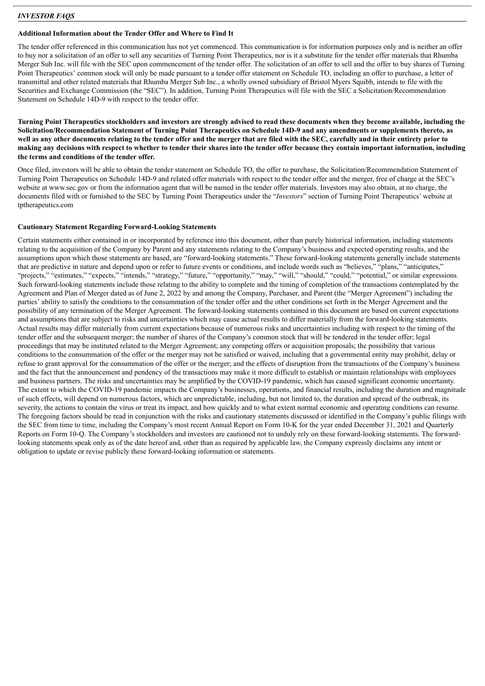# *INVESTOR FAQS*

#### **Additional Information about the Tender Offer and Where to Find It**

The tender offer referenced in this communication has not yet commenced. This communication is for information purposes only and is neither an offer to buy nor a solicitation of an offer to sell any securities of Turning Point Therapeutics, nor is it a substitute for the tender offer materials that Rhumba Merger Sub Inc. will file with the SEC upon commencement of the tender offer. The solicitation of an offer to sell and the offer to buy shares of Turning Point Therapeutics' common stock will only be made pursuant to a tender offer statement on Schedule TO, including an offer to purchase, a letter of transmittal and other related materials that Rhumba Merger Sub Inc., a wholly owned subsidiary of Bristol Myers Squibb, intends to file with the Securities and Exchange Commission (the "SEC"). In addition, Turning Point Therapeutics will file with the SEC a Solicitation/Recommendation Statement on Schedule 14D-9 with respect to the tender offer.

Turning Point Therapeutics stockholders and investors are strongly advised to read these documents when they become available, including the Solicitation/Recommendation Statement of Turning Point Therapeutics on Schedule 14D-9 and any amendments or supplements thereto, as well as any other documents relating to the tender offer and the merger that are filed with the SEC, carefully and in their entirety prior to making any decisions with respect to whether to tender their shares into the tender offer because they contain important information, including **the terms and conditions of the tender offer.**

Once filed, investors will be able to obtain the tender statement on Schedule TO, the offer to purchase, the Solicitation/Recommendation Statement of Turning Point Therapeutics on Schedule 14D-9 and related offer materials with respect to the tender offer and the merger, free of charge at the SEC's website at www.sec.gov or from the information agent that will be named in the tender offer materials. Investors may also obtain, at no charge, the documents filed with or furnished to the SEC by Turning Point Therapeutics under the "*Investors*" section of Turning Point Therapeutics' website at tptherapeutics.com

# **Cautionary Statement Regarding Forward-Looking Statements**

Certain statements either contained in or incorporated by reference into this document, other than purely historical information, including statements relating to the acquisition of the Company by Parent and any statements relating to the Company's business and expected operating results, and the assumptions upon which those statements are based, are "forward-looking statements." These forward-looking statements generally include statements that are predictive in nature and depend upon or refer to future events or conditions, and include words such as "believes," "plans," "anticipates," "projects," "estimates," "expects," "intends," "strategy," "future," "opportunity," "may," "will," "should," "could," "potential," or similar expressions. Such forward-looking statements include those relating to the ability to complete and the timing of completion of the transactions contemplated by the Agreement and Plan of Merger dated as of June 2, 2022 by and among the Company, Purchaser, and Parent (the "Merger Agreement") including the parties' ability to satisfy the conditions to the consummation of the tender offer and the other conditions set forth in the Merger Agreement and the possibility of any termination of the Merger Agreement. The forward-looking statements contained in this document are based on current expectations and assumptions that are subject to risks and uncertainties which may cause actual results to differ materially from the forward-looking statements. Actual results may differ materially from current expectations because of numerous risks and uncertainties including with respect to the timing of the tender offer and the subsequent merger; the number of shares of the Company's common stock that will be tendered in the tender offer; legal proceedings that may be instituted related to the Merger Agreement; any competing offers or acquisition proposals; the possibility that various conditions to the consummation of the offer or the merger may not be satisfied or waived, including that a governmental entity may prohibit, delay or refuse to grant approval for the consummation of the offer or the merger; and the effects of disruption from the transactions of the Company's business and the fact that the announcement and pendency of the transactions may make it more difficult to establish or maintain relationships with employees and business partners. The risks and uncertainties may be amplified by the COVID-19 pandemic, which has caused significant economic uncertainty. The extent to which the COVID-19 pandemic impacts the Company's businesses, operations, and financial results, including the duration and magnitude of such effects, will depend on numerous factors, which are unpredictable, including, but not limited to, the duration and spread of the outbreak, its severity, the actions to contain the virus or treat its impact, and how quickly and to what extent normal economic and operating conditions can resume. The foregoing factors should be read in conjunction with the risks and cautionary statements discussed or identified in the Company's public filings with the SEC from time to time, including the Company's most recent Annual Report on Form 10-K for the year ended December 31, 2021 and Quarterly Reports on Form 10-Q. The Company's stockholders and investors are cautioned not to unduly rely on these forward-looking statements. The forwardlooking statements speak only as of the date hereof and, other than as required by applicable law, the Company expressly disclaims any intent or obligation to update or revise publicly these forward-looking information or statements.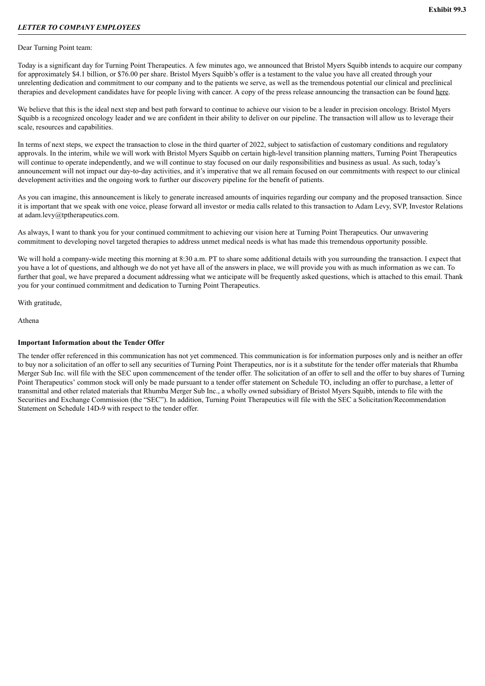#### <span id="page-12-0"></span>Dear Turning Point team:

Today is a significant day for Turning Point Therapeutics. A few minutes ago, we announced that Bristol Myers Squibb intends to acquire our company for approximately \$4.1 billion, or \$76.00 per share. Bristol Myers Squibb's offer is a testament to the value you have all created through your unrelenting dedication and commitment to our company and to the patients we serve, as well as the tremendous potential our clinical and preclinical therapies and development candidates have for people living with cancer. A copy of the press release announcing the transaction can be found here.

We believe that this is the ideal next step and best path forward to continue to achieve our vision to be a leader in precision oncology. Bristol Myers Squibb is a recognized oncology leader and we are confident in their ability to deliver on our pipeline. The transaction will allow us to leverage their scale, resources and capabilities.

In terms of next steps, we expect the transaction to close in the third quarter of 2022, subject to satisfaction of customary conditions and regulatory approvals. In the interim, while we will work with Bristol Myers Squibb on certain high-level transition planning matters, Turning Point Therapeutics will continue to operate independently, and we will continue to stay focused on our daily responsibilities and business as usual. As such, today's announcement will not impact our day-to-day activities, and it's imperative that we all remain focused on our commitments with respect to our clinical development activities and the ongoing work to further our discovery pipeline for the benefit of patients.

As you can imagine, this announcement is likely to generate increased amounts of inquiries regarding our company and the proposed transaction. Since it is important that we speak with one voice, please forward all investor or media calls related to this transaction to Adam Levy, SVP, Investor Relations at adam.levy@tptherapeutics.com.

As always, I want to thank you for your continued commitment to achieving our vision here at Turning Point Therapeutics. Our unwavering commitment to developing novel targeted therapies to address unmet medical needs is what has made this tremendous opportunity possible.

We will hold a company-wide meeting this morning at 8:30 a.m. PT to share some additional details with you surrounding the transaction. I expect that you have a lot of questions, and although we do not yet have all of the answers in place, we will provide you with as much information as we can. To further that goal, we have prepared a document addressing what we anticipate will be frequently asked questions, which is attached to this email. Thank you for your continued commitment and dedication to Turning Point Therapeutics.

With gratitude,

Athena

# **Important Information about the Tender Offer**

The tender offer referenced in this communication has not yet commenced. This communication is for information purposes only and is neither an offer to buy nor a solicitation of an offer to sell any securities of Turning Point Therapeutics, nor is it a substitute for the tender offer materials that Rhumba Merger Sub Inc. will file with the SEC upon commencement of the tender offer. The solicitation of an offer to sell and the offer to buy shares of Turning Point Therapeutics' common stock will only be made pursuant to a tender offer statement on Schedule TO, including an offer to purchase, a letter of transmittal and other related materials that Rhumba Merger Sub Inc., a wholly owned subsidiary of Bristol Myers Squibb, intends to file with the Securities and Exchange Commission (the "SEC"). In addition, Turning Point Therapeutics will file with the SEC a Solicitation/Recommendation Statement on Schedule 14D-9 with respect to the tender offer.